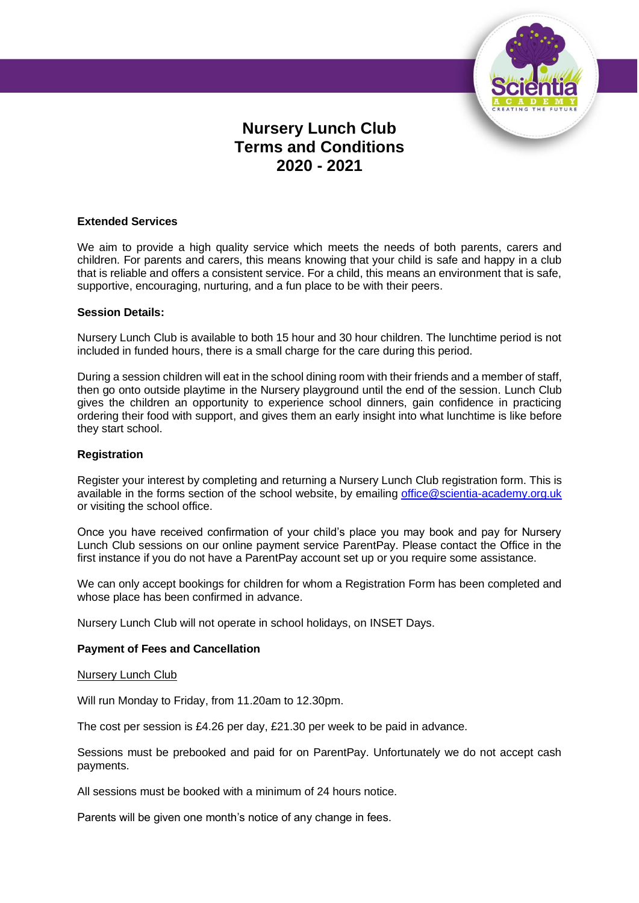

# **Nursery Lunch Club Terms and Conditions 2020 - 2021**

## **Extended Services**

We aim to provide a high quality service which meets the needs of both parents, carers and children. For parents and carers, this means knowing that your child is safe and happy in a club that is reliable and offers a consistent service. For a child, this means an environment that is safe, supportive, encouraging, nurturing, and a fun place to be with their peers.

## **Session Details:**

Nursery Lunch Club is available to both 15 hour and 30 hour children. The lunchtime period is not included in funded hours, there is a small charge for the care during this period.

During a session children will eat in the school dining room with their friends and a member of staff, then go onto outside playtime in the Nursery playground until the end of the session. Lunch Club gives the children an opportunity to experience school dinners, gain confidence in practicing ordering their food with support, and gives them an early insight into what lunchtime is like before they start school.

#### **Registration**

Register your interest by completing and returning a Nursery Lunch Club registration form. This is available in the forms section of the school website, by emailing [office@scientia-academy.org.uk](mailto:office@scientia-academy.org.uk) or visiting the school office.

Once you have received confirmation of your child's place you may book and pay for Nursery Lunch Club sessions on our online payment service ParentPay. Please contact the Office in the first instance if you do not have a ParentPay account set up or you require some assistance.

We can only accept bookings for children for whom a Registration Form has been completed and whose place has been confirmed in advance.

Nursery Lunch Club will not operate in school holidays, on INSET Days.

# **Payment of Fees and Cancellation**

#### Nursery Lunch Club

Will run Monday to Friday, from 11.20am to 12.30pm.

The cost per session is £4.26 per day, £21.30 per week to be paid in advance.

Sessions must be prebooked and paid for on ParentPay. Unfortunately we do not accept cash payments.

All sessions must be booked with a minimum of 24 hours notice.

Parents will be given one month's notice of any change in fees.